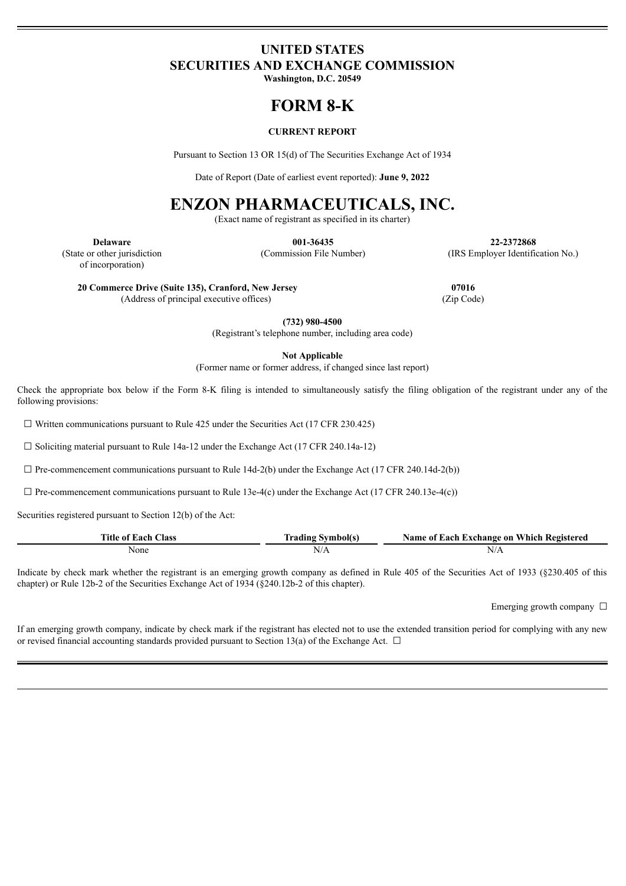## **UNITED STATES SECURITIES AND EXCHANGE COMMISSION**

**Washington, D.C. 20549**

# **FORM 8-K**

#### **CURRENT REPORT**

Pursuant to Section 13 OR 15(d) of The Securities Exchange Act of 1934

Date of Report (Date of earliest event reported): **June 9, 2022**

# **ENZON PHARMACEUTICALS, INC.**

(Exact name of registrant as specified in its charter)

**Delaware** (State or other jurisdiction

**001-36435** (Commission File Number)

**22-2372868** (IRS Employer Identification No.)

**20 Commerce Drive (Suite 135), Cranford, New Jersey** (Address of principal executive offices)

**07016** (Zip Code)

**(732) 980-4500**

(Registrant's telephone number, including area code)

**Not Applicable**

(Former name or former address, if changed since last report)

Check the appropriate box below if the Form 8-K filing is intended to simultaneously satisfy the filing obligation of the registrant under any of the following provisions:

 $\Box$  Written communications pursuant to Rule 425 under the Securities Act (17 CFR 230.425)

 $\Box$  Soliciting material pursuant to Rule 14a-12 under the Exchange Act (17 CFR 240.14a-12)

 $\Box$  Pre-commencement communications pursuant to Rule 14d-2(b) under the Exchange Act (17 CFR 240.14d-2(b))

 $\Box$  Pre-commencement communications pursuant to Rule 13e-4(c) under the Exchange Act (17 CFR 240.13e-4(c))

Securities registered pursuant to Section 12(b) of the Act:

| Title of Each (<br>Class | <b>Symbol</b> s<br>tradıng | Name of Each Exchange on Which Registered |
|--------------------------|----------------------------|-------------------------------------------|
| None                     | N/A                        | N/A                                       |

Indicate by check mark whether the registrant is an emerging growth company as defined in Rule 405 of the Securities Act of 1933 (§230.405 of this chapter) or Rule 12b-2 of the Securities Exchange Act of 1934 (§240.12b-2 of this chapter).

Emerging growth company  $\Box$ 

If an emerging growth company, indicate by check mark if the registrant has elected not to use the extended transition period for complying with any new or revised financial accounting standards provided pursuant to Section 13(a) of the Exchange Act.  $\Box$ 

of incorporation)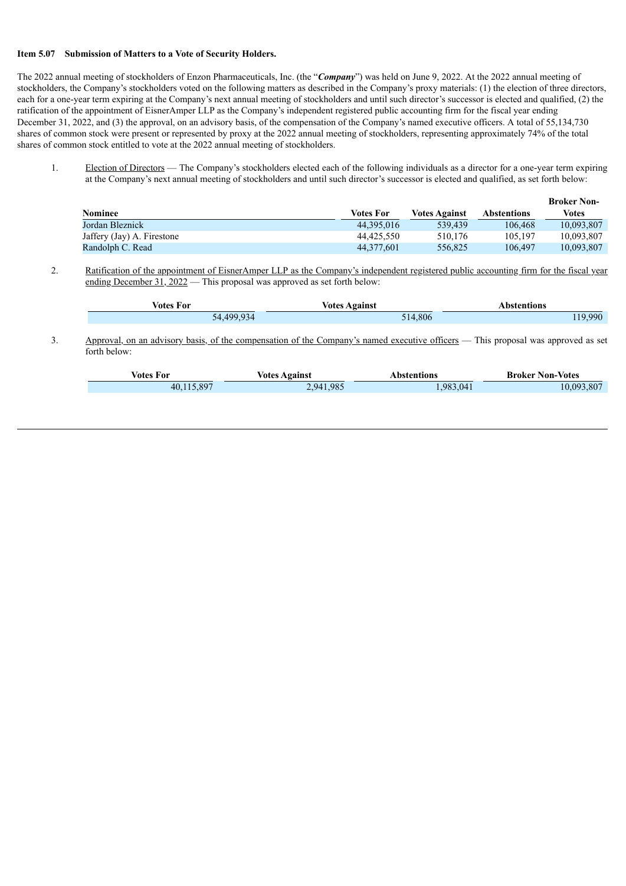#### **Item 5.07 Submission of Matters to a Vote of Security Holders.**

The 2022 annual meeting of stockholders of Enzon Pharmaceuticals, Inc. (the "*Company*") was held on June 9, 2022. At the 2022 annual meeting of stockholders, the Company's stockholders voted on the following matters as described in the Company's proxy materials: (1) the election of three directors, each for a one-year term expiring at the Company's next annual meeting of stockholders and until such director's successor is elected and qualified, (2) the ratification of the appointment of EisnerAmper LLP as the Company's independent registered public accounting firm for the fiscal year ending December 31, 2022, and (3) the approval, on an advisory basis, of the compensation of the Company's named executive officers. A total of 55,134,730 shares of common stock were present or represented by proxy at the 2022 annual meeting of stockholders, representing approximately 74% of the total shares of common stock entitled to vote at the 2022 annual meeting of stockholders.

1. Election of Directors — The Company's stockholders elected each of the following individuals as a director for a one-year term expiring at the Company's next annual meeting of stockholders and until such director's successor is elected and qualified, as set forth below:

|                            |                  |                      |                    | <b>Broker Non-</b> |
|----------------------------|------------------|----------------------|--------------------|--------------------|
| <b>Nominee</b>             | <b>Votes For</b> | <b>Votes Against</b> | <b>Abstentions</b> | <b>Votes</b>       |
| Jordan Bleznick            | 44.395.016       | 539.439              | 106.468            | 10.093.807         |
| Jaffery (Jay) A. Firestone | 44.425.550       | 510.176              | 105.197            | 10.093.807         |
| Randolph C. Read           | 44.377.601       | 556.825              | 106.497            | 10,093,807         |

2. Ratification of the appointment of EisnerAmper LLP as the Company's independent registered public accounting firm for the fiscal year ending December 31, 2022 — This proposal was approved as set forth below:

| ⁄otes For | <b>Votes Against</b> | <b>\bstentions</b> |  |
|-----------|----------------------|--------------------|--|
| _____     |                      | .                  |  |
| $-4.4999$ | .806<br>514.         | 990                |  |

3. Approval, on an advisory basis, of the compensation of the Company's named executive officers — This proposal was approved as set forth below:

| Votes For .    | <b>Votes Against</b> | bstentions\ | <b>Broker Non-Votes</b> |
|----------------|----------------------|-------------|-------------------------|
| 115 897<br>40. | 2.941.985            | .983.041    | 10.093.807              |
|                |                      |             |                         |